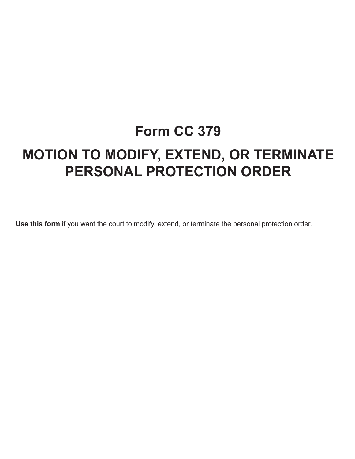# **Form CC 379 MOTION TO MODIFY, EXTEND, OR TERMINATE PERSONAL PROTECTION ORDER**

**Use this form** if you want the court to modify, extend, or terminate the personal protection order.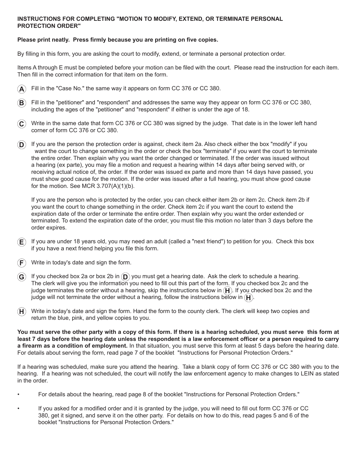# **INSTRUCTIONS FOR COMPLETING "MOTION TO MODIFY, EXTEND, OR TERMINATE PERSONAL PROTECTION ORDER"**

### **Please print neatly. Press firmly because you are printing on five copies.**

By filling in this form, you are asking the court to modify, extend, or terminate a personal protection order.

Items A through E must be completed before your motion can be filed with the court. Please read the instruction for each item. Then fill in the correct information for that item on the form.



- Fill in the "petitioner" and "respondent" and addresses the same way they appear on form CC 376 or CC 380, including the ages of the "petitioner" and "respondent" if either is under the age of 18.
- **C** Write in the same date that form CC 376 or CC 380 was signed by the judge. That date is in the lower left hand corner of form CC 376 or CC 380.
- $\bf(D)$  If you are the person the protection order is against, check item 2a. Also check either the box "modify" if you want the court to change something in the order or check the box "terminate" if you want the court to terminate the entire order. Then explain why you want the order changed or terminated. If the order was issued without a hearing (ex parte), you may file a motion and request a hearing within 14 days after being served with, or receiving actual notice of, the order. If the order was issued ex parte and more than 14 days have passed, you must show good cause for the motion. If the order was issued after a full hearing, you must show good cause for the motion. See MCR 3.707(A)(1)(b).

 If you are the person who is protected by the order, you can check either item 2b or item 2c. Check item 2b if you want the court to change something in the order. Check item 2c if you want the court to extend the expiration date of the order or terminate the entire order. Then explain why you want the order extended or terminated. To extend the expiration date of the order, you must file this motion no later than 3 days before the order expires.

- **E** If you are under 18 years old, you may need an adult (called a "next friend") to petition for you. Check this box if you have a next friend helping you file this form.
- Write in today's date and sign the form.
- **G** If you checked box 2a or box 2b in **D** you must get a hearing date. Ask the clerk to schedule a hearing. The clerk will give you the information you need to fill out this part of the form. If you checked box 2c and the judge terminates the order without a hearing, skip the instructions below in  $(H)$ . If you checked box 2c and the judge will not terminate the order without a hearing, follow the instructions below in  $(H)$ .
- $H$  Write in today's date and sign the form. Hand the form to the county clerk. The clerk will keep two copies and return the blue, pink, and yellow copies to you.

**You must serve the other party with a copy of this form. If there is a hearing scheduled, you must serve this form at least 7 days before the hearing date unless the respondent is a law enforcement officer or a person required to carry a firearm as a condition of employment.** In that situation, you must serve this form at least 5 days before the hearing date. For details about serving the form, read page 7 of the booklet "Instructions for Personal Protection Orders."

If a hearing was scheduled, make sure you attend the hearing. Take a blank copy of form CC 376 or CC 380 with you to the hearing. If a hearing was not scheduled, the court will notify the law enforcement agency to make changes to LEIN as stated in the order.

- For details about the hearing, read page 8 of the booklet "Instructions for Personal Protection Orders."
- If you asked for a modified order and it is granted by the judge, you will need to fill out form CC 376 or CC 380, get it signed, and serve it on the other party. For details on how to do this, read pages 5 and 6 of the booklet "Instructions for Personal Protection Orders."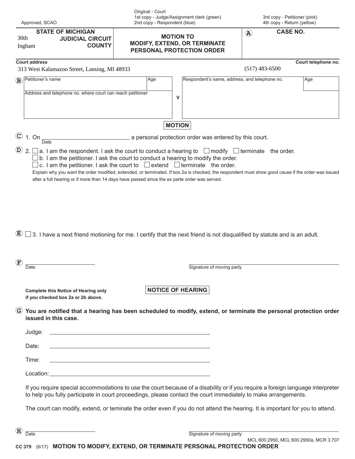|                           | Approved, SCAO                                                                                                                                                                                                                                    |                                                        | Original - Court<br>2nd copy - Respondent (blue)                                                                | 1st copy - Judge/Assignment clerk (green)                                                                                                                                                                                                                                                                                                                                                      |                           | 3rd copy - Petitioner (pink)<br>4th copy - Return (yellow) |  |  |  |
|---------------------------|---------------------------------------------------------------------------------------------------------------------------------------------------------------------------------------------------------------------------------------------------|--------------------------------------------------------|-----------------------------------------------------------------------------------------------------------------|------------------------------------------------------------------------------------------------------------------------------------------------------------------------------------------------------------------------------------------------------------------------------------------------------------------------------------------------------------------------------------------------|---------------------------|------------------------------------------------------------|--|--|--|
|                           | <b>STATE OF MICHIGAN</b><br>30th<br>Ingham                                                                                                                                                                                                        | <b>JUDICIAL CIRCUIT</b><br><b>COUNTY</b>               |                                                                                                                 | <b>MOTION TO</b><br><b>MODIFY, EXTEND, OR TERMINATE</b><br>PERSONAL PROTECTION ORDER                                                                                                                                                                                                                                                                                                           | $\left(\mathbf{A}\right)$ | <b>CASE NO.</b>                                            |  |  |  |
|                           | <b>Court address</b><br>313 West Kalamazoo Street, Lansing, MI 48933                                                                                                                                                                              |                                                        |                                                                                                                 |                                                                                                                                                                                                                                                                                                                                                                                                | $(517)$ 483-6500          | Court telephone no.                                        |  |  |  |
|                           | $\mathbf{B}$ Petitioner's name                                                                                                                                                                                                                    |                                                        | Age                                                                                                             | Respondent's name, address, and telephone no.                                                                                                                                                                                                                                                                                                                                                  |                           | Age                                                        |  |  |  |
|                           | Address and telephone no. where court can reach petitioner                                                                                                                                                                                        |                                                        |                                                                                                                 | v                                                                                                                                                                                                                                                                                                                                                                                              |                           |                                                            |  |  |  |
|                           | <b>MOTION</b>                                                                                                                                                                                                                                     |                                                        |                                                                                                                 |                                                                                                                                                                                                                                                                                                                                                                                                |                           |                                                            |  |  |  |
|                           | $\circledcirc$ 1. On<br><b>Date</b>                                                                                                                                                                                                               | a personal protection order was entered by this court. |                                                                                                                 |                                                                                                                                                                                                                                                                                                                                                                                                |                           |                                                            |  |  |  |
|                           |                                                                                                                                                                                                                                                   |                                                        | after a full hearing or if more than 14 days have passed since the ex parte order was served.                   | c. I am the petitioner. I ask the court to $\Box$ extend $\Box$ terminate the order.<br>Explain why you want the order modified, extended, or terminated. If box 2a is checked, the respondent must show good cause if the order was issued<br>$(\textbf{E}) \square$ 3. I have a next friend motioning for me. I certify that the next friend is not disqualified by statute and is an adult. |                           |                                                            |  |  |  |
| $\left(\mathbf{F}\right)$ | Date                                                                                                                                                                                                                                              |                                                        |                                                                                                                 | Signature of moving party                                                                                                                                                                                                                                                                                                                                                                      |                           |                                                            |  |  |  |
|                           | <b>Complete this Notice of Hearing only</b><br>if you checked box 2a or 2b above.                                                                                                                                                                 |                                                        |                                                                                                                 | <b>NOTICE OF HEARING</b>                                                                                                                                                                                                                                                                                                                                                                       |                           |                                                            |  |  |  |
|                           | issued in this case.                                                                                                                                                                                                                              |                                                        |                                                                                                                 | G You are notified that a hearing has been scheduled to modify, extend, or terminate the personal protection order                                                                                                                                                                                                                                                                             |                           |                                                            |  |  |  |
|                           | Judge:                                                                                                                                                                                                                                            |                                                        | <u> 1989 - Andrea Station Barbara, amerikan personal (h. 1989).</u>                                             |                                                                                                                                                                                                                                                                                                                                                                                                |                           |                                                            |  |  |  |
|                           | Date:                                                                                                                                                                                                                                             |                                                        | and the state of the state of the state of the state of the state of the state of the state of the state of the |                                                                                                                                                                                                                                                                                                                                                                                                |                           |                                                            |  |  |  |
|                           | Time:                                                                                                                                                                                                                                             |                                                        | and the state of the state of the state of the state of the state of the state of the state of the state of the |                                                                                                                                                                                                                                                                                                                                                                                                |                           |                                                            |  |  |  |
|                           |                                                                                                                                                                                                                                                   |                                                        |                                                                                                                 |                                                                                                                                                                                                                                                                                                                                                                                                |                           |                                                            |  |  |  |
|                           | If you require special accommodations to use the court because of a disability or if you require a foreign language interpreter<br>to help you fully participate in court proceedings, please contact the court immediately to make arrangements. |                                                        |                                                                                                                 |                                                                                                                                                                                                                                                                                                                                                                                                |                           |                                                            |  |  |  |
|                           |                                                                                                                                                                                                                                                   |                                                        |                                                                                                                 | The court can modify, extend, or teminate the order even if you do not attend the hearing. It is important for you to attend.                                                                                                                                                                                                                                                                  |                           |                                                            |  |  |  |
| $\bf(H)$                  |                                                                                                                                                                                                                                                   |                                                        |                                                                                                                 |                                                                                                                                                                                                                                                                                                                                                                                                |                           |                                                            |  |  |  |
|                           | Date                                                                                                                                                                                                                                              |                                                        |                                                                                                                 | Signature of moving party                                                                                                                                                                                                                                                                                                                                                                      |                           |                                                            |  |  |  |

**CC 379** (6/17) **MOTION TO MODIFY, EXTEND, OR TERMINATE PERSONAL PROTECTION ORDER** MCL 600.2950, MCL 600.2950a, MCR 3.707